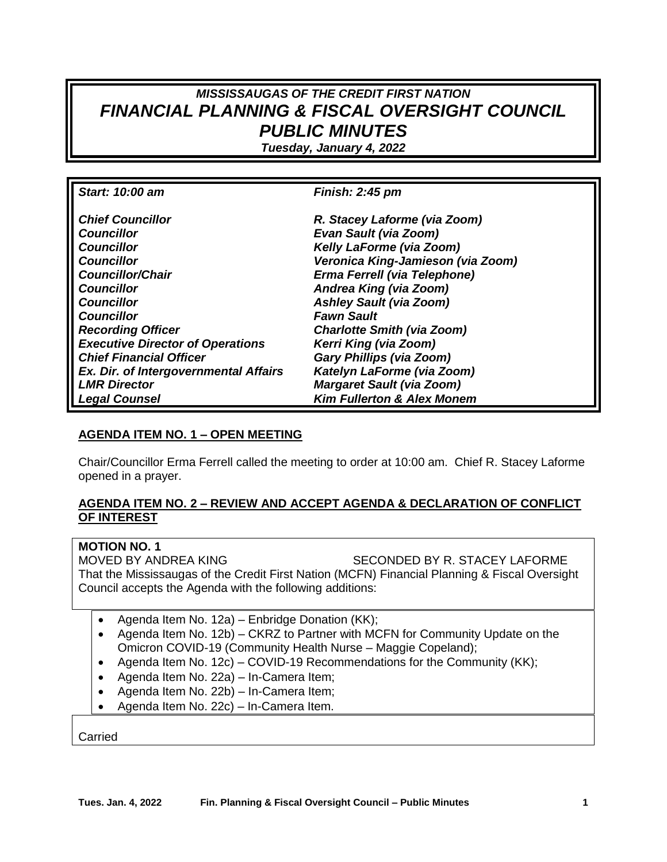# *MISSISSAUGAS OF THE CREDIT FIRST NATION FINANCIAL PLANNING & FISCAL OVERSIGHT COUNCIL PUBLIC MINUTES*

*Tuesday, January 4, 2022*

| Start: 10:00 am                         | <b>Finish: 2:45 pm</b>                |
|-----------------------------------------|---------------------------------------|
| <b>Chief Councillor</b>                 | R. Stacey Laforme (via Zoom)          |
| <b>Councillor</b>                       | <b>Evan Sault (via Zoom)</b>          |
| <b>Councillor</b>                       | <b>Kelly LaForme (via Zoom)</b>       |
| <b>Councillor</b>                       | Veronica King-Jamieson (via Zoom)     |
| <b>Councillor/Chair</b>                 | Erma Ferrell (via Telephone)          |
| <b>Councillor</b>                       | Andrea King (via Zoom)                |
| <b>Councillor</b>                       | <b>Ashley Sault (via Zoom)</b>        |
| <b>Councillor</b>                       | <b>Fawn Sault</b>                     |
| <b>Recording Officer</b>                | <b>Charlotte Smith (via Zoom)</b>     |
| <b>Executive Director of Operations</b> | Kerri King (via Zoom)                 |
| <b>Chief Financial Officer</b>          | <b>Gary Phillips (via Zoom)</b>       |
| Ex. Dir. of Intergovernmental Affairs   | Katelyn LaForme (via Zoom)            |
| <b>LMR Director</b>                     | <b>Margaret Sault (via Zoom)</b>      |
| <b>Legal Counsel</b>                    | <b>Kim Fullerton &amp; Alex Monem</b> |

## **AGENDA ITEM NO. 1 – OPEN MEETING**

Chair/Councillor Erma Ferrell called the meeting to order at 10:00 am. Chief R. Stacey Laforme opened in a prayer.

## **AGENDA ITEM NO. 2 – REVIEW AND ACCEPT AGENDA & DECLARATION OF CONFLICT OF INTEREST**

## **MOTION NO. 1**

MOVED BY ANDREA KING SECONDED BY R. STACEY LAFORME That the Mississaugas of the Credit First Nation (MCFN) Financial Planning & Fiscal Oversight Council accepts the Agenda with the following additions:

- Agenda Item No. 12a) Enbridge Donation (KK);
- Agenda Item No. 12b) CKRZ to Partner with MCFN for Community Update on the Omicron COVID-19 (Community Health Nurse – Maggie Copeland);
- Agenda Item No. 12c) COVID-19 Recommendations for the Community (KK);
- Agenda Item No. 22a) In-Camera Item;
- Agenda Item No. 22b) In-Camera Item;
- Agenda Item No. 22c) In-Camera Item.

Carried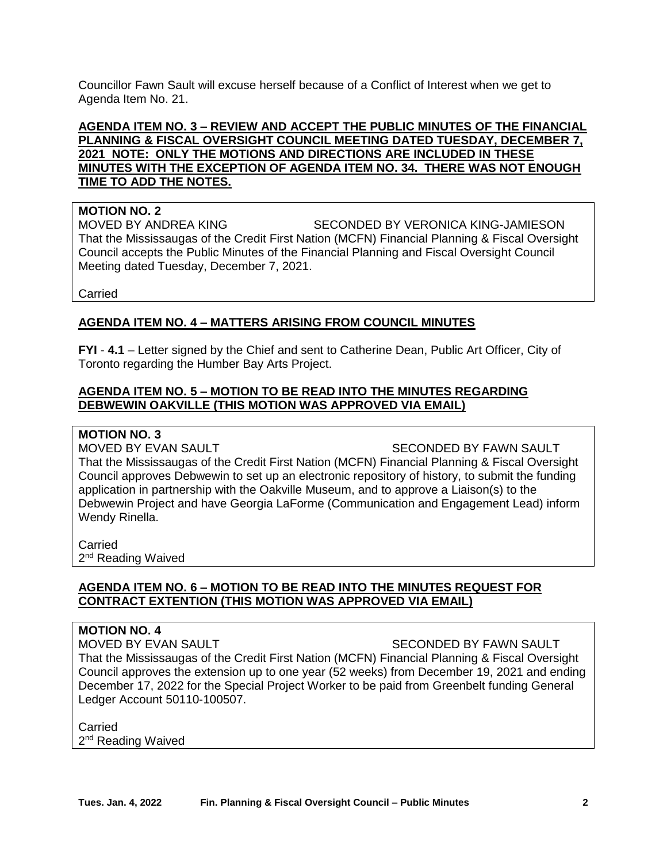Councillor Fawn Sault will excuse herself because of a Conflict of Interest when we get to Agenda Item No. 21.

## **AGENDA ITEM NO. 3 – REVIEW AND ACCEPT THE PUBLIC MINUTES OF THE FINANCIAL PLANNING & FISCAL OVERSIGHT COUNCIL MEETING DATED TUESDAY, DECEMBER 7, 2021 NOTE: ONLY THE MOTIONS AND DIRECTIONS ARE INCLUDED IN THESE MINUTES WITH THE EXCEPTION OF AGENDA ITEM NO. 34. THERE WAS NOT ENOUGH TIME TO ADD THE NOTES.**

## **MOTION NO. 2**

MOVED BY ANDREA KING SECONDED BY VERONICA KING-JAMIESON That the Mississaugas of the Credit First Nation (MCFN) Financial Planning & Fiscal Oversight Council accepts the Public Minutes of the Financial Planning and Fiscal Oversight Council Meeting dated Tuesday, December 7, 2021.

Carried

## **AGENDA ITEM NO. 4 – MATTERS ARISING FROM COUNCIL MINUTES**

**FYI** - **4.1** – Letter signed by the Chief and sent to Catherine Dean, Public Art Officer, City of Toronto regarding the Humber Bay Arts Project.

## **AGENDA ITEM NO. 5 – MOTION TO BE READ INTO THE MINUTES REGARDING DEBWEWIN OAKVILLE (THIS MOTION WAS APPROVED VIA EMAIL)**

#### **MOTION NO. 3**

MOVED BY EVAN SAULT SECONDED BY FAWN SAULT That the Mississaugas of the Credit First Nation (MCFN) Financial Planning & Fiscal Oversight Council approves Debwewin to set up an electronic repository of history, to submit the funding application in partnership with the Oakville Museum, and to approve a Liaison(s) to the Debwewin Project and have Georgia LaForme (Communication and Engagement Lead) inform Wendy Rinella.

Carried 2<sup>nd</sup> Reading Waived

## **AGENDA ITEM NO. 6 – MOTION TO BE READ INTO THE MINUTES REQUEST FOR CONTRACT EXTENTION (THIS MOTION WAS APPROVED VIA EMAIL)**

## **MOTION NO. 4**

MOVED BY EVAN SAULT SECONDED BY FAWN SAULT That the Mississaugas of the Credit First Nation (MCFN) Financial Planning & Fiscal Oversight Council approves the extension up to one year (52 weeks) from December 19, 2021 and ending December 17, 2022 for the Special Project Worker to be paid from Greenbelt funding General Ledger Account 50110-100507.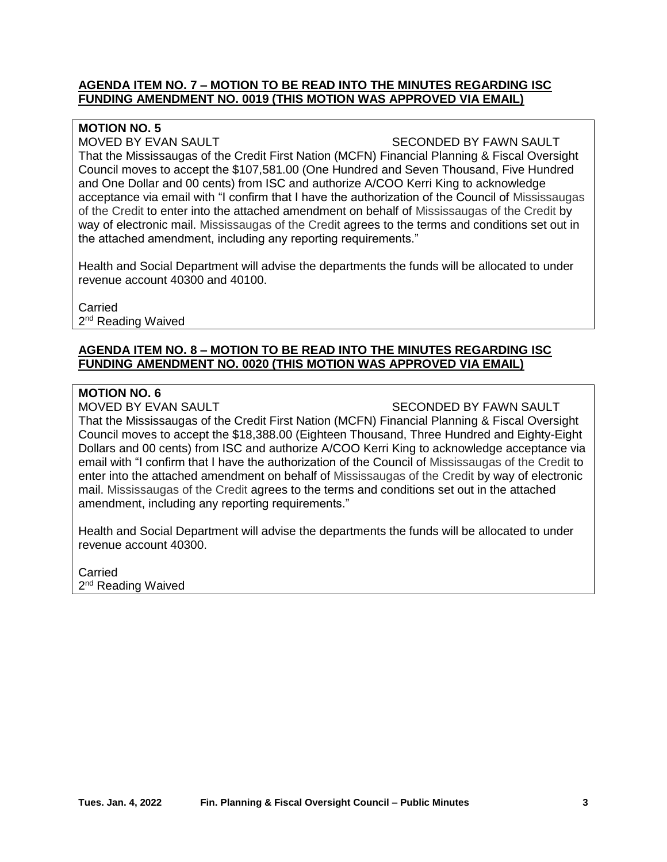## **AGENDA ITEM NO. 7 – MOTION TO BE READ INTO THE MINUTES REGARDING ISC FUNDING AMENDMENT NO. 0019 (THIS MOTION WAS APPROVED VIA EMAIL)**

## **MOTION NO. 5**

#### MOVED BY EVAN SAULT SECONDED BY FAWN SAULT

That the Mississaugas of the Credit First Nation (MCFN) Financial Planning & Fiscal Oversight Council moves to accept the \$107,581.00 (One Hundred and Seven Thousand, Five Hundred and One Dollar and 00 cents) from ISC and authorize A/COO Kerri King to acknowledge acceptance via email with "I confirm that I have the authorization of the Council of Mississaugas of the Credit to enter into the attached amendment on behalf of Mississaugas of the Credit by way of electronic mail. Mississaugas of the Credit agrees to the terms and conditions set out in the attached amendment, including any reporting requirements."

Health and Social Department will advise the departments the funds will be allocated to under revenue account 40300 and 40100.

**Carried** 2<sup>nd</sup> Reading Waived

## **AGENDA ITEM NO. 8 – MOTION TO BE READ INTO THE MINUTES REGARDING ISC FUNDING AMENDMENT NO. 0020 (THIS MOTION WAS APPROVED VIA EMAIL)**

#### **MOTION NO. 6**

MOVED BY EVAN SAULT SECONDED BY FAWN SAULT

That the Mississaugas of the Credit First Nation (MCFN) Financial Planning & Fiscal Oversight Council moves to accept the \$18,388.00 (Eighteen Thousand, Three Hundred and Eighty-Eight Dollars and 00 cents) from ISC and authorize A/COO Kerri King to acknowledge acceptance via email with "I confirm that I have the authorization of the Council of Mississaugas of the Credit to enter into the attached amendment on behalf of Mississaugas of the Credit by way of electronic mail. Mississaugas of the Credit agrees to the terms and conditions set out in the attached amendment, including any reporting requirements."

Health and Social Department will advise the departments the funds will be allocated to under revenue account 40300.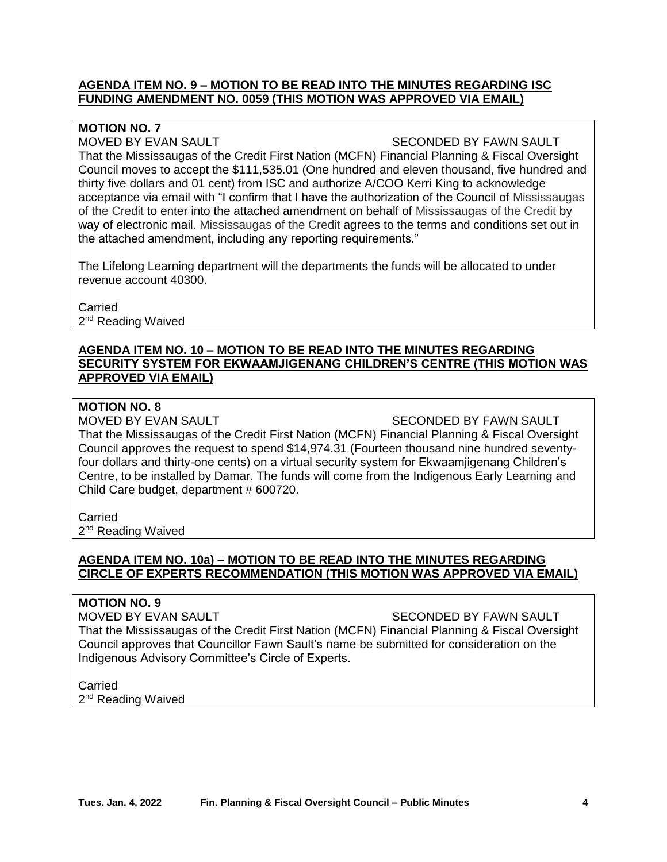## **AGENDA ITEM NO. 9 – MOTION TO BE READ INTO THE MINUTES REGARDING ISC FUNDING AMENDMENT NO. 0059 (THIS MOTION WAS APPROVED VIA EMAIL)**

## **MOTION NO. 7**

#### MOVED BY EVAN SAULT SECONDED BY FAWN SAULT

That the Mississaugas of the Credit First Nation (MCFN) Financial Planning & Fiscal Oversight Council moves to accept the \$111,535.01 (One hundred and eleven thousand, five hundred and thirty five dollars and 01 cent) from ISC and authorize A/COO Kerri King to acknowledge acceptance via email with "I confirm that I have the authorization of the Council of Mississaugas of the Credit to enter into the attached amendment on behalf of Mississaugas of the Credit by way of electronic mail. Mississaugas of the Credit agrees to the terms and conditions set out in the attached amendment, including any reporting requirements."

The Lifelong Learning department will the departments the funds will be allocated to under revenue account 40300.

**Carried** 2<sup>nd</sup> Reading Waived

## **AGENDA ITEM NO. 10 – MOTION TO BE READ INTO THE MINUTES REGARDING SECURITY SYSTEM FOR EKWAAMJIGENANG CHILDREN'S CENTRE (THIS MOTION WAS APPROVED VIA EMAIL)**

## **MOTION NO. 8**

MOVED BY EVAN SAULT SECONDED BY FAWN SAULT

That the Mississaugas of the Credit First Nation (MCFN) Financial Planning & Fiscal Oversight Council approves the request to spend \$14,974.31 (Fourteen thousand nine hundred seventyfour dollars and thirty-one cents) on a virtual security system for Ekwaamjigenang Children's Centre, to be installed by Damar. The funds will come from the Indigenous Early Learning and Child Care budget, department # 600720.

## **Carried**

2<sup>nd</sup> Reading Waived

## **AGENDA ITEM NO. 10a) – MOTION TO BE READ INTO THE MINUTES REGARDING CIRCLE OF EXPERTS RECOMMENDATION (THIS MOTION WAS APPROVED VIA EMAIL)**

#### **MOTION NO. 9**

MOVED BY EVAN SAULT SECONDED BY FAWN SAULT That the Mississaugas of the Credit First Nation (MCFN) Financial Planning & Fiscal Oversight Council approves that Councillor Fawn Sault's name be submitted for consideration on the Indigenous Advisory Committee's Circle of Experts.

**Carried** 2<sup>nd</sup> Reading Waived

**Tues. Jan. 4, 2022 Fin. Planning & Fiscal Oversight Council – Public Minutes 4**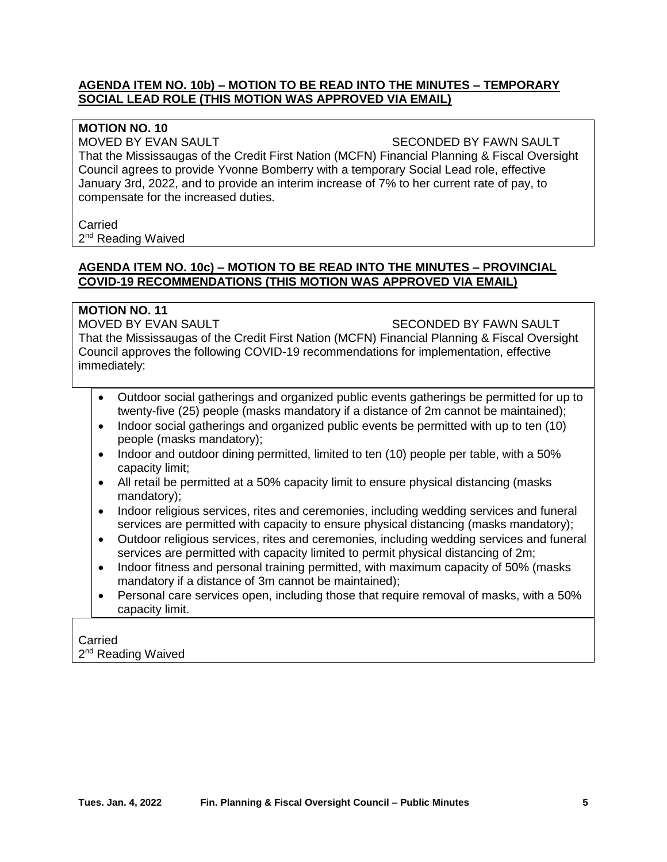## **AGENDA ITEM NO. 10b) – MOTION TO BE READ INTO THE MINUTES – TEMPORARY SOCIAL LEAD ROLE (THIS MOTION WAS APPROVED VIA EMAIL)**

## **MOTION NO. 10**

MOVED BY EVAN SAULT SECONDED BY FAWN SAULT

That the Mississaugas of the Credit First Nation (MCFN) Financial Planning & Fiscal Oversight Council agrees to provide Yvonne Bomberry with a temporary Social Lead role, effective January 3rd, 2022, and to provide an interim increase of 7% to her current rate of pay, to compensate for the increased duties.

#### Carried

2<sup>nd</sup> Reading Waived

## **AGENDA ITEM NO. 10c) – MOTION TO BE READ INTO THE MINUTES – PROVINCIAL COVID-19 RECOMMENDATIONS (THIS MOTION WAS APPROVED VIA EMAIL)**

## **MOTION NO. 11**

MOVED BY EVAN SAULT SECONDED BY FAWN SAULT

That the Mississaugas of the Credit First Nation (MCFN) Financial Planning & Fiscal Oversight Council approves the following COVID-19 recommendations for implementation, effective immediately:

- Outdoor social gatherings and organized public events gatherings be permitted for up to twenty-five (25) people (masks mandatory if a distance of 2m cannot be maintained);
- Indoor social gatherings and organized public events be permitted with up to ten (10) people (masks mandatory);
- Indoor and outdoor dining permitted, limited to ten (10) people per table, with a 50% capacity limit;
- All retail be permitted at a 50% capacity limit to ensure physical distancing (masks) mandatory);
- Indoor religious services, rites and ceremonies, including wedding services and funeral services are permitted with capacity to ensure physical distancing (masks mandatory);
- Outdoor religious services, rites and ceremonies, including wedding services and funeral services are permitted with capacity limited to permit physical distancing of 2m;
- Indoor fitness and personal training permitted, with maximum capacity of 50% (masks mandatory if a distance of 3m cannot be maintained);
- Personal care services open, including those that require removal of masks, with a 50% capacity limit.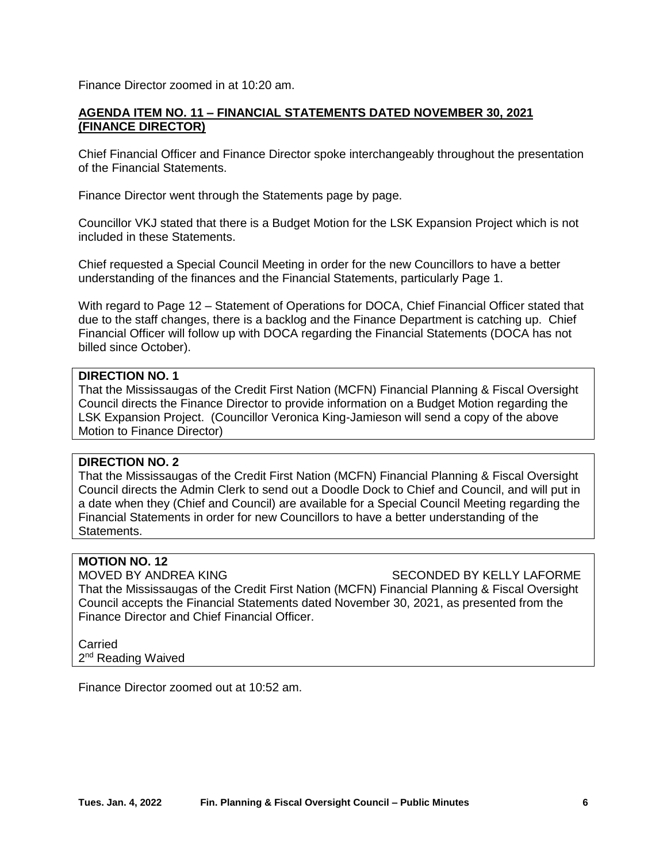Finance Director zoomed in at 10:20 am.

## **AGENDA ITEM NO. 11 – FINANCIAL STATEMENTS DATED NOVEMBER 30, 2021 (FINANCE DIRECTOR)**

Chief Financial Officer and Finance Director spoke interchangeably throughout the presentation of the Financial Statements.

Finance Director went through the Statements page by page.

Councillor VKJ stated that there is a Budget Motion for the LSK Expansion Project which is not included in these Statements.

Chief requested a Special Council Meeting in order for the new Councillors to have a better understanding of the finances and the Financial Statements, particularly Page 1.

With regard to Page 12 – Statement of Operations for DOCA, Chief Financial Officer stated that due to the staff changes, there is a backlog and the Finance Department is catching up. Chief Financial Officer will follow up with DOCA regarding the Financial Statements (DOCA has not billed since October).

#### **DIRECTION NO. 1**

That the Mississaugas of the Credit First Nation (MCFN) Financial Planning & Fiscal Oversight Council directs the Finance Director to provide information on a Budget Motion regarding the LSK Expansion Project. (Councillor Veronica King-Jamieson will send a copy of the above Motion to Finance Director)

## **DIRECTION NO. 2**

That the Mississaugas of the Credit First Nation (MCFN) Financial Planning & Fiscal Oversight Council directs the Admin Clerk to send out a Doodle Dock to Chief and Council, and will put in a date when they (Chief and Council) are available for a Special Council Meeting regarding the Financial Statements in order for new Councillors to have a better understanding of the Statements.

#### **MOTION NO. 12**

MOVED BY ANDREA KING SECONDED BY KELLY LAFORME That the Mississaugas of the Credit First Nation (MCFN) Financial Planning & Fiscal Oversight Council accepts the Financial Statements dated November 30, 2021, as presented from the Finance Director and Chief Financial Officer.

# **Carried**

2<sup>nd</sup> Reading Waived

Finance Director zoomed out at 10:52 am.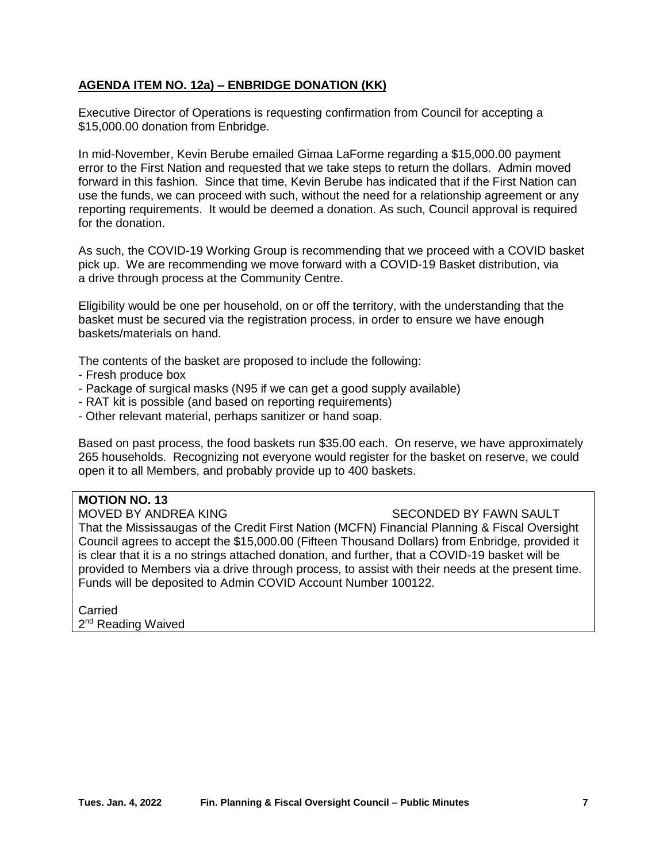## **AGENDA ITEM NO. 12a) – ENBRIDGE DONATION (KK)**

Executive Director of Operations is requesting confirmation from Council for accepting a \$15,000.00 donation from Enbridge.

In mid-November, Kevin Berube emailed Gimaa LaForme regarding a \$15,000.00 payment error to the First Nation and requested that we take steps to return the dollars. Admin moved forward in this fashion. Since that time, Kevin Berube has indicated that if the First Nation can use the funds, we can proceed with such, without the need for a relationship agreement or any reporting requirements. It would be deemed a donation. As such, Council approval is required for the donation.

As such, the COVID-19 Working Group is recommending that we proceed with a COVID basket pick up. We are recommending we move forward with a COVID-19 Basket distribution, via a drive through process at the Community Centre.

Eligibility would be one per household, on or off the territory, with the understanding that the basket must be secured via the registration process, in order to ensure we have enough baskets/materials on hand.

The contents of the basket are proposed to include the following:

- Fresh produce box
- Package of surgical masks (N95 if we can get a good supply available)
- RAT kit is possible (and based on reporting requirements)
- Other relevant material, perhaps sanitizer or hand soap.

Based on past process, the food baskets run \$35.00 each. On reserve, we have approximately 265 households. Recognizing not everyone would register for the basket on reserve, we could open it to all Members, and probably provide up to 400 baskets.

# **MOTION NO. 13**

MOVED BY ANDREA KING SECONDED BY FAWN SAULT

That the Mississaugas of the Credit First Nation (MCFN) Financial Planning & Fiscal Oversight Council agrees to accept the \$15,000.00 (Fifteen Thousand Dollars) from Enbridge, provided it is clear that it is a no strings attached donation, and further, that a COVID-19 basket will be provided to Members via a drive through process, to assist with their needs at the present time. Funds will be deposited to Admin COVID Account Number 100122.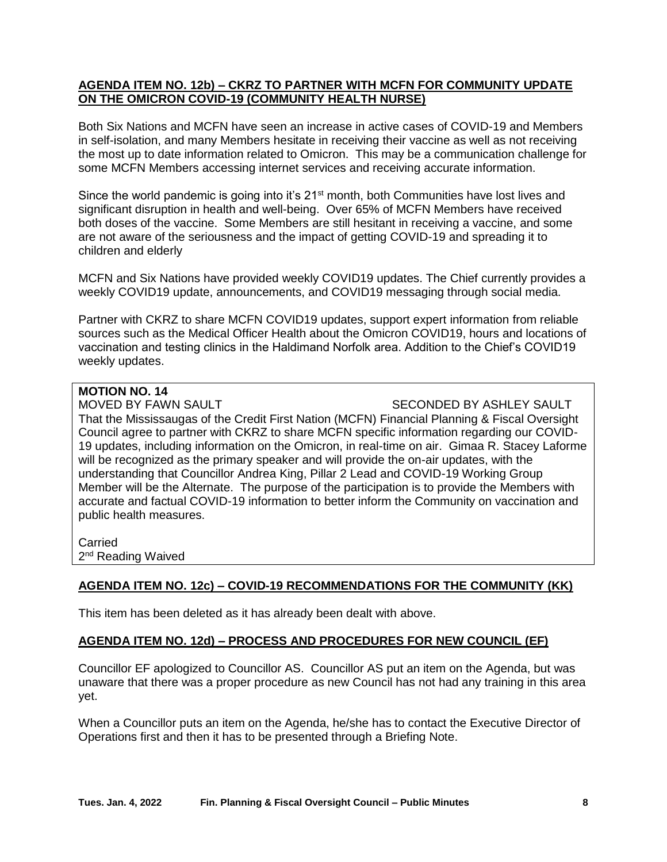## **AGENDA ITEM NO. 12b) – CKRZ TO PARTNER WITH MCFN FOR COMMUNITY UPDATE ON THE OMICRON COVID-19 (COMMUNITY HEALTH NURSE)**

Both Six Nations and MCFN have seen an increase in active cases of COVID-19 and Members in self-isolation, and many Members hesitate in receiving their vaccine as well as not receiving the most up to date information related to Omicron. This may be a communication challenge for some MCFN Members accessing internet services and receiving accurate information.

Since the world pandemic is going into it's 21<sup>st</sup> month, both Communities have lost lives and significant disruption in health and well-being. Over 65% of MCFN Members have received both doses of the vaccine. Some Members are still hesitant in receiving a vaccine, and some are not aware of the seriousness and the impact of getting COVID-19 and spreading it to children and elderly

MCFN and Six Nations have provided weekly COVID19 updates. The Chief currently provides a weekly COVID19 update, announcements, and COVID19 messaging through social media.

Partner with CKRZ to share MCFN COVID19 updates, support expert information from reliable sources such as the Medical Officer Health about the Omicron COVID19, hours and locations of vaccination and testing clinics in the Haldimand Norfolk area. Addition to the Chief's COVID19 weekly updates.

# **MOTION NO. 14**

MOVED BY FAWN SAULT SECONDED BY ASHLEY SAULT

That the Mississaugas of the Credit First Nation (MCFN) Financial Planning & Fiscal Oversight Council agree to partner with CKRZ to share MCFN specific information regarding our COVID-19 updates, including information on the Omicron, in real-time on air. Gimaa R. Stacey Laforme will be recognized as the primary speaker and will provide the on-air updates, with the understanding that Councillor Andrea King, Pillar 2 Lead and COVID-19 Working Group Member will be the Alternate. The purpose of the participation is to provide the Members with accurate and factual COVID-19 information to better inform the Community on vaccination and public health measures.

Carried 2<sup>nd</sup> Reading Waived

## **AGENDA ITEM NO. 12c) – COVID-19 RECOMMENDATIONS FOR THE COMMUNITY (KK)**

This item has been deleted as it has already been dealt with above.

## **AGENDA ITEM NO. 12d) – PROCESS AND PROCEDURES FOR NEW COUNCIL (EF)**

Councillor EF apologized to Councillor AS. Councillor AS put an item on the Agenda, but was unaware that there was a proper procedure as new Council has not had any training in this area yet.

When a Councillor puts an item on the Agenda, he/she has to contact the Executive Director of Operations first and then it has to be presented through a Briefing Note.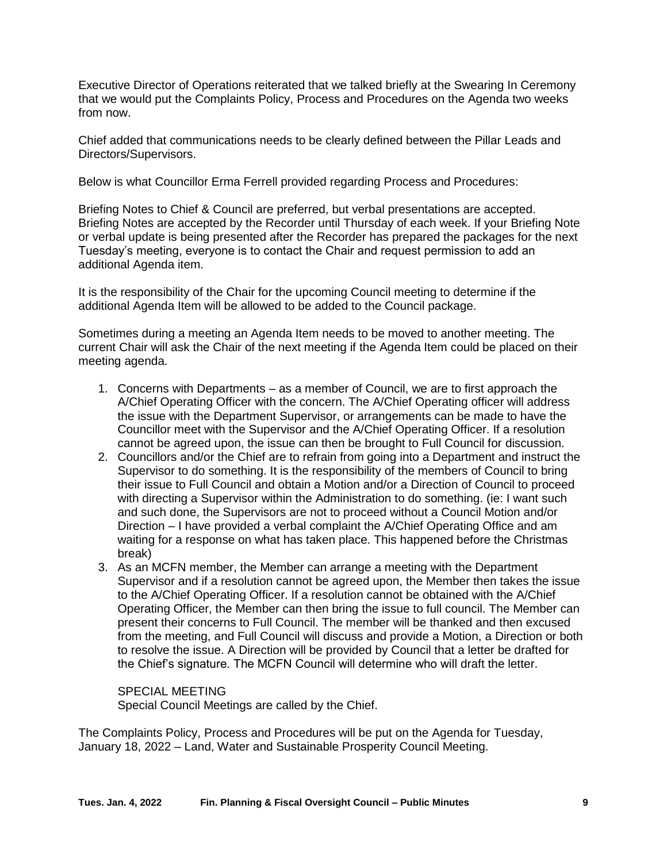Executive Director of Operations reiterated that we talked briefly at the Swearing In Ceremony that we would put the Complaints Policy, Process and Procedures on the Agenda two weeks from now.

Chief added that communications needs to be clearly defined between the Pillar Leads and Directors/Supervisors.

Below is what Councillor Erma Ferrell provided regarding Process and Procedures:

Briefing Notes to Chief & Council are preferred, but verbal presentations are accepted. Briefing Notes are accepted by the Recorder until Thursday of each week. If your Briefing Note or verbal update is being presented after the Recorder has prepared the packages for the next Tuesday's meeting, everyone is to contact the Chair and request permission to add an additional Agenda item.

It is the responsibility of the Chair for the upcoming Council meeting to determine if the additional Agenda Item will be allowed to be added to the Council package.

Sometimes during a meeting an Agenda Item needs to be moved to another meeting. The current Chair will ask the Chair of the next meeting if the Agenda Item could be placed on their meeting agenda.

- 1. Concerns with Departments as a member of Council, we are to first approach the A/Chief Operating Officer with the concern. The A/Chief Operating officer will address the issue with the Department Supervisor, or arrangements can be made to have the Councillor meet with the Supervisor and the A/Chief Operating Officer. If a resolution cannot be agreed upon, the issue can then be brought to Full Council for discussion.
- 2. Councillors and/or the Chief are to refrain from going into a Department and instruct the Supervisor to do something. It is the responsibility of the members of Council to bring their issue to Full Council and obtain a Motion and/or a Direction of Council to proceed with directing a Supervisor within the Administration to do something. (ie: I want such and such done, the Supervisors are not to proceed without a Council Motion and/or Direction – I have provided a verbal complaint the A/Chief Operating Office and am waiting for a response on what has taken place. This happened before the Christmas break)
- 3. As an MCFN member, the Member can arrange a meeting with the Department Supervisor and if a resolution cannot be agreed upon, the Member then takes the issue to the A/Chief Operating Officer. If a resolution cannot be obtained with the A/Chief Operating Officer, the Member can then bring the issue to full council. The Member can present their concerns to Full Council. The member will be thanked and then excused from the meeting, and Full Council will discuss and provide a Motion, a Direction or both to resolve the issue. A Direction will be provided by Council that a letter be drafted for the Chief's signature. The MCFN Council will determine who will draft the letter.

SPECIAL MEETING Special Council Meetings are called by the Chief.

The Complaints Policy, Process and Procedures will be put on the Agenda for Tuesday, January 18, 2022 – Land, Water and Sustainable Prosperity Council Meeting.